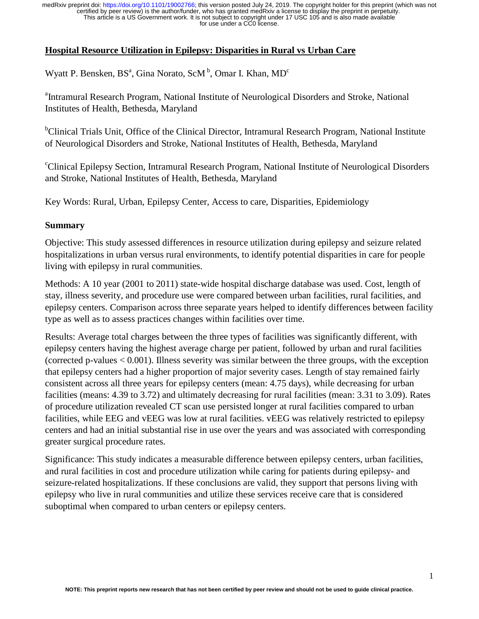#### **Hospital Resource Utilization in Epilepsy: Disparities in Rural vs Urban Care**

Wyatt P. Bensken, BS<sup>a</sup>, Gina Norato, ScM<sup>b</sup>, Omar I. Khan, MD<sup>c</sup>

<sup>a</sup>Intramural Research Program, National Institute of Neurological Disorders and Stroke, National Institutes of Health, Bethesda, Maryland

<sup>b</sup>Clinical Trials Unit, Office of the Clinical Director, Intramural Research Program, National Institute of Neurological Disorders and Stroke, National Institutes of Health, Bethesda, Maryland

c Clinical Epilepsy Section, Intramural Research Program, National Institute of Neurological Disorders and Stroke, National Institutes of Health, Bethesda, Maryland

Key Words: Rural, Urban, Epilepsy Center, Access to care, Disparities, Epidemiology

#### **Summary**

Objective: This study assessed differences in resource utilization during epilepsy and seizure related hospitalizations in urban versus rural environments, to identify potential disparities in care for people living with epilepsy in rural communities.

Methods: A 10 year (2001 to 2011) state-wide hospital discharge database was used. Cost, length of stay, illness severity, and procedure use were compared between urban facilities, rural facilities, and epilepsy centers. Comparison across three separate years helped to identify differences between facility type as well as to assess practices changes within facilities over time.

Results: Average total charges between the three types of facilities was significantly different, with epilepsy centers having the highest average charge per patient, followed by urban and rural facilities (corrected p-values < 0.001). Illness severity was similar between the three groups, with the exception that epilepsy centers had a higher proportion of major severity cases. Length of stay remained fairly consistent across all three years for epilepsy centers (mean: 4.75 days), while decreasing for urban facilities (means: 4.39 to 3.72) and ultimately decreasing for rural facilities (mean: 3.31 to 3.09). Rates of procedure utilization revealed CT scan use persisted longer at rural facilities compared to urban facilities, while EEG and vEEG was low at rural facilities. vEEG was relatively restricted to epilepsy centers and had an initial substantial rise in use over the years and was associated with corresponding greater surgical procedure rates.

Significance: This study indicates a measurable difference between epilepsy centers, urban facilities, and rural facilities in cost and procedure utilization while caring for patients during epilepsy- and seizure-related hospitalizations. If these conclusions are valid, they support that persons living with epilepsy who live in rural communities and utilize these services receive care that is considered suboptimal when compared to urban centers or epilepsy centers.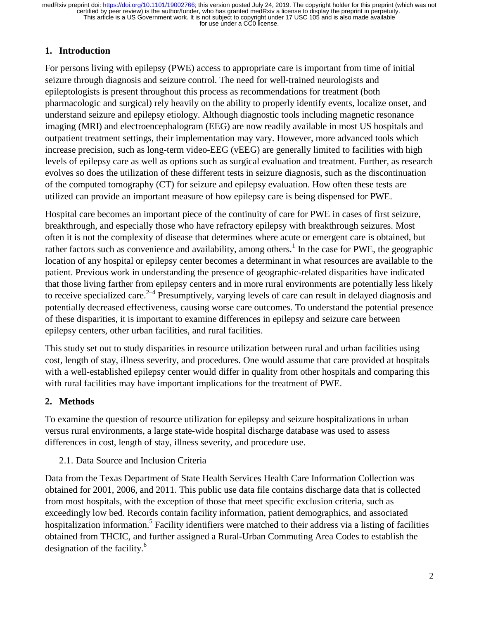# **1. Introduction**

For persons living with epilepsy (PWE) access to appropriate care is important from time of initial seizure through diagnosis and seizure control. The need for well-trained neurologists and epileptologists is present throughout this process as recommendations for treatment (both pharmacologic and surgical) rely heavily on the ability to properly identify events, localize onset, and understand seizure and epilepsy etiology. Although diagnostic tools including magnetic resonance imaging (MRI) and electroencephalogram (EEG) are now readily available in most US hospitals and outpatient treatment settings, their implementation may vary. However, more advanced tools which increase precision, such as long-term video-EEG (vEEG) are generally limited to facilities with high levels of epilepsy care as well as options such as surgical evaluation and treatment. Further, as research evolves so does the utilization of these different tests in seizure diagnosis, such as the discontinuation of the computed tomography (CT) for seizure and epilepsy evaluation. How often these tests are utilized can provide an important measure of how epilepsy care is being dispensed for PWE.

Hospital care becomes an important piece of the continuity of care for PWE in cases of first seizure, breakthrough, and especially those who have refractory epilepsy with breakthrough seizures. Most often it is not the complexity of disease that determines where acute or emergent care is obtained, but rather factors such as convenience and availability, among others.<sup>1</sup> In the case for PWE, the geographic location of any hospital or epilepsy center becomes a determinant in what resources are available to the patient. Previous work in understanding the presence of geographic-related disparities have indicated that those living farther from epilepsy centers and in more rural environments are potentially less likely to receive specialized care.<sup>2–4</sup> Presumptively, varying levels of care can result in delayed diagnosis and potentially decreased effectiveness, causing worse care outcomes. To understand the potential presence of these disparities, it is important to examine differences in epilepsy and seizure care between epilepsy centers, other urban facilities, and rural facilities.

This study set out to study disparities in resource utilization between rural and urban facilities using cost, length of stay, illness severity, and procedures. One would assume that care provided at hospitals with a well-established epilepsy center would differ in quality from other hospitals and comparing this with rural facilities may have important implications for the treatment of PWE.

### **2. Methods**

To examine the question of resource utilization for epilepsy and seizure hospitalizations in urban versus rural environments, a large state-wide hospital discharge database was used to assess differences in cost, length of stay, illness severity, and procedure use.

### 2.1. Data Source and Inclusion Criteria

Data from the Texas Department of State Health Services Health Care Information Collection was obtained for 2001, 2006, and 2011. This public use data file contains discharge data that is collected from most hospitals, with the exception of those that meet specific exclusion criteria, such as exceedingly low bed. Records contain facility information, patient demographics, and associated hospitalization information.<sup>5</sup> Facility identifiers were matched to their address via a listing of facilities obtained from THCIC, and further assigned a Rural-Urban Commuting Area Codes to establish the designation of the facility.<sup>6</sup>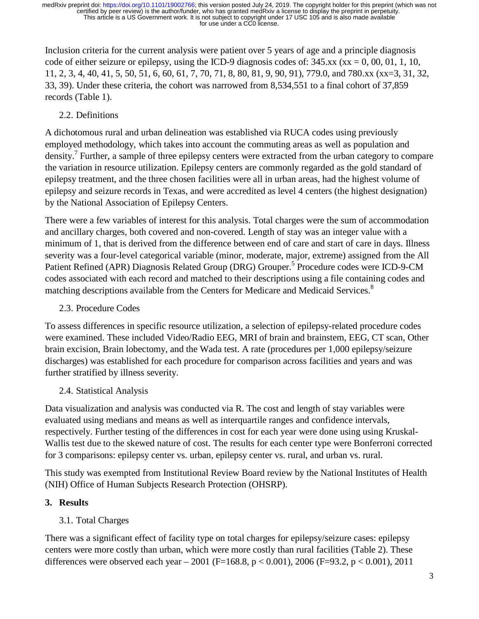Inclusion criteria for the current analysis were patient over 5 years of age and a principle diagnosis code of either seizure or epilepsy, using the ICD-9 diagnosis codes of:  $345$ .xx (xx = 0, 00, 01, 1, 10, 11, 2, 3, 4, 40, 41, 5, 50, 51, 6, 60, 61, 7, 70, 71, 8, 80, 81, 9, 90, 91), 779.0, and 780.xx (xx=3, 31, 32, 33, 39). Under these criteria, the cohort was narrowed from 8,534,551 to a final cohort of 37,859 records (Table 1).

### 2.2. Definitions

A dichotomous rural and urban delineation was established via RUCA codes using previously employed methodology, which takes into account the commuting areas as well as population and density.<sup>7</sup> Further, a sample of three epilepsy centers were extracted from the urban category to compare the variation in resource utilization. Epilepsy centers are commonly regarded as the gold standard of epilepsy treatment, and the three chosen facilities were all in urban areas, had the highest volume of epilepsy and seizure records in Texas, and were accredited as level 4 centers (the highest designation) by the National Association of Epilepsy Centers.

There were a few variables of interest for this analysis. Total charges were the sum of accommodation and ancillary charges, both covered and non-covered. Length of stay was an integer value with a minimum of 1, that is derived from the difference between end of care and start of care in days. Illness severity was a four-level categorical variable (minor, moderate, major, extreme) assigned from the All Patient Refined (APR) Diagnosis Related Group (DRG) Grouper.<sup>5</sup> Procedure codes were ICD-9-CM codes associated with each record and matched to their descriptions using a file containing codes and matching descriptions available from the Centers for Medicare and Medicaid Services.<sup>8</sup>

2.3. Procedure Codes

To assess differences in specific resource utilization, a selection of epilepsy-related procedure codes were examined. These included Video/Radio EEG, MRI of brain and brainstem, EEG, CT scan, Other brain excision, Brain lobectomy, and the Wada test. A rate (procedures per 1,000 epilepsy/seizure discharges) was established for each procedure for comparison across facilities and years and was further stratified by illness severity.

# 2.4. Statistical Analysis

Data visualization and analysis was conducted via R. The cost and length of stay variables were evaluated using medians and means as well as interquartile ranges and confidence intervals, respectively. Further testing of the differences in cost for each year were done using using Kruskal-Wallis test due to the skewed nature of cost. The results for each center type were Bonferroni corrected for 3 comparisons: epilepsy center vs. urban, epilepsy center vs. rural, and urban vs. rural.

This study was exempted from Institutional Review Board review by the National Institutes of Health (NIH) Office of Human Subjects Research Protection (OHSRP).

# **3. Results**

# 3.1. Total Charges

There was a significant effect of facility type on total charges for epilepsy/seizure cases: epilepsy centers were more costly than urban, which were more costly than rural facilities (Table 2). These differences were observed each year – 2001 (F=168.8, p < 0.001), 2006 (F=93.2, p < 0.001), 2011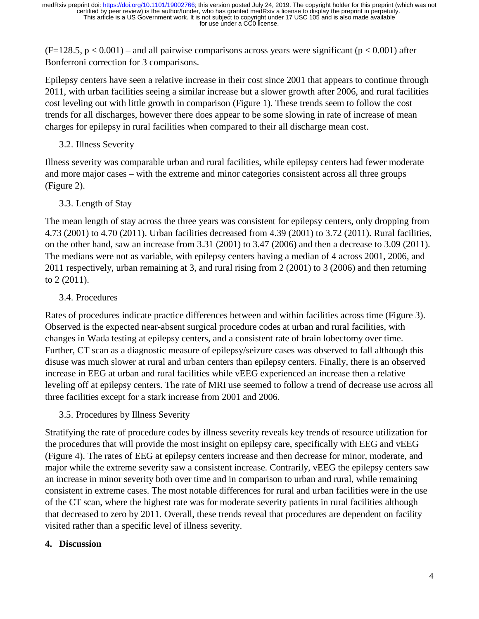$(F=128.5, p < 0.001)$  – and all pairwise comparisons across years were significant ( $p < 0.001$ ) after Bonferroni correction for 3 comparisons.

Epilepsy centers have seen a relative increase in their cost since 2001 that appears to continue through 2011, with urban facilities seeing a similar increase but a slower growth after 2006, and rural facilities cost leveling out with little growth in comparison (Figure 1). These trends seem to follow the cost trends for all discharges, however there does appear to be some slowing in rate of increase of mean charges for epilepsy in rural facilities when compared to their all discharge mean cost.

3.2. Illness Severity

Illness severity was comparable urban and rural facilities, while epilepsy centers had fewer moderate and more major cases – with the extreme and minor categories consistent across all three groups (Figure 2).

3.3. Length of Stay

The mean length of stay across the three years was consistent for epilepsy centers, only dropping from 4.73 (2001) to 4.70 (2011). Urban facilities decreased from 4.39 (2001) to 3.72 (2011). Rural facilities, on the other hand, saw an increase from 3.31 (2001) to 3.47 (2006) and then a decrease to 3.09 (2011). The medians were not as variable, with epilepsy centers having a median of 4 across 2001, 2006, and 2011 respectively, urban remaining at 3, and rural rising from 2 (2001) to 3 (2006) and then returning to 2 (2011).

3.4. Procedures

Rates of procedures indicate practice differences between and within facilities across time (Figure 3). Observed is the expected near-absent surgical procedure codes at urban and rural facilities, with changes in Wada testing at epilepsy centers, and a consistent rate of brain lobectomy over time. Further, CT scan as a diagnostic measure of epilepsy/seizure cases was observed to fall although this disuse was much slower at rural and urban centers than epilepsy centers. Finally, there is an observed increase in EEG at urban and rural facilities while vEEG experienced an increase then a relative leveling off at epilepsy centers. The rate of MRI use seemed to follow a trend of decrease use across all three facilities except for a stark increase from 2001 and 2006.

3.5. Procedures by Illness Severity

Stratifying the rate of procedure codes by illness severity reveals key trends of resource utilization for the procedures that will provide the most insight on epilepsy care, specifically with EEG and vEEG (Figure 4). The rates of EEG at epilepsy centers increase and then decrease for minor, moderate, and major while the extreme severity saw a consistent increase. Contrarily, vEEG the epilepsy centers saw an increase in minor severity both over time and in comparison to urban and rural, while remaining consistent in extreme cases. The most notable differences for rural and urban facilities were in the use of the CT scan, where the highest rate was for moderate severity patients in rural facilities although that decreased to zero by 2011. Overall, these trends reveal that procedures are dependent on facility visited rather than a specific level of illness severity.

# **4. Discussion**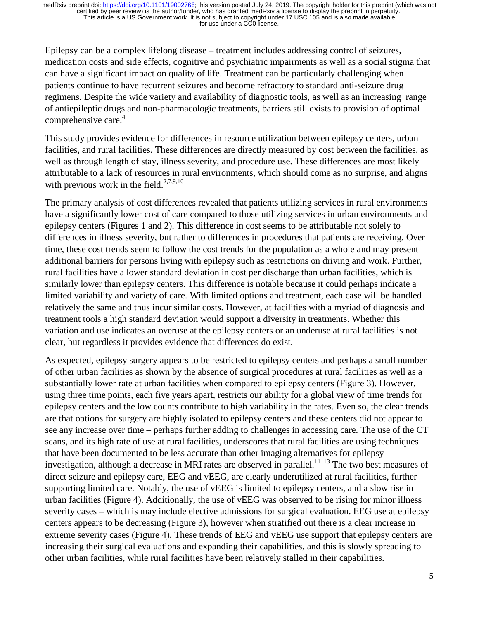Epilepsy can be a complex lifelong disease – treatment includes addressing control of seizures, medication costs and side effects, cognitive and psychiatric impairments as well as a social stigma that can have a significant impact on quality of life. Treatment can be particularly challenging when patients continue to have recurrent seizures and become refractory to standard anti-seizure drug regimens. Despite the wide variety and availability of diagnostic tools, as well as an increasing range of antiepileptic drugs and non-pharmacologic treatments, barriers still exists to provision of optimal comprehensive care.<sup>4</sup>

This study provides evidence for differences in resource utilization between epilepsy centers, urban facilities, and rural facilities. These differences are directly measured by cost between the facilities, as well as through length of stay, illness severity, and procedure use. These differences are most likely attributable to a lack of resources in rural environments, which should come as no surprise, and aligns with previous work in the field. $27,9,10$ 

The primary analysis of cost differences revealed that patients utilizing services in rural environments have a significantly lower cost of care compared to those utilizing services in urban environments and epilepsy centers (Figures 1 and 2). This difference in cost seems to be attributable not solely to differences in illness severity, but rather to differences in procedures that patients are receiving. Over time, these cost trends seem to follow the cost trends for the population as a whole and may present additional barriers for persons living with epilepsy such as restrictions on driving and work. Further, rural facilities have a lower standard deviation in cost per discharge than urban facilities, which is similarly lower than epilepsy centers. This difference is notable because it could perhaps indicate a limited variability and variety of care. With limited options and treatment, each case will be handled relatively the same and thus incur similar costs. However, at facilities with a myriad of diagnosis and treatment tools a high standard deviation would support a diversity in treatments. Whether this variation and use indicates an overuse at the epilepsy centers or an underuse at rural facilities is not clear, but regardless it provides evidence that differences do exist.

As expected, epilepsy surgery appears to be restricted to epilepsy centers and perhaps a small number of other urban facilities as shown by the absence of surgical procedures at rural facilities as well as a substantially lower rate at urban facilities when compared to epilepsy centers (Figure 3). However, using three time points, each five years apart, restricts our ability for a global view of time trends for epilepsy centers and the low counts contribute to high variability in the rates. Even so, the clear trends are that options for surgery are highly isolated to epilepsy centers and these centers did not appear to see any increase over time – perhaps further adding to challenges in accessing care. The use of the CT scans, and its high rate of use at rural facilities, underscores that rural facilities are using techniques that have been documented to be less accurate than other imaging alternatives for epilepsy investigation, although a decrease in MRI rates are observed in parallel.<sup>11–13</sup> The two best measures of direct seizure and epilepsy care, EEG and vEEG, are clearly underutilized at rural facilities, further supporting limited care. Notably, the use of vEEG is limited to epilepsy centers, and a slow rise in urban facilities (Figure 4). Additionally, the use of vEEG was observed to be rising for minor illness severity cases – which is may include elective admissions for surgical evaluation. EEG use at epilepsy centers appears to be decreasing (Figure 3), however when stratified out there is a clear increase in extreme severity cases (Figure 4). These trends of EEG and vEEG use support that epilepsy centers are increasing their surgical evaluations and expanding their capabilities, and this is slowly spreading to other urban facilities, while rural facilities have been relatively stalled in their capabilities.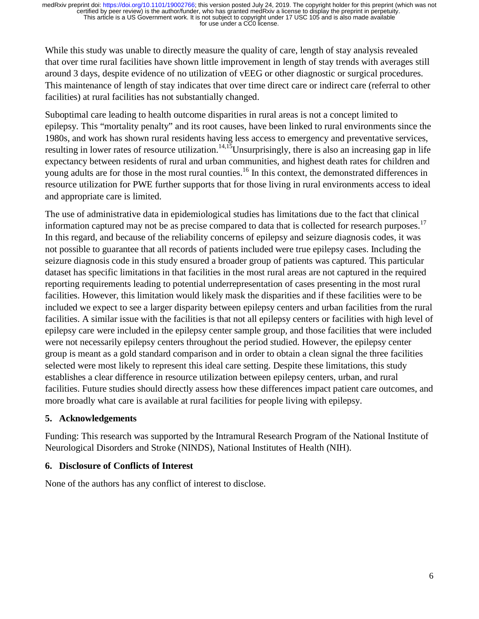While this study was unable to directly measure the quality of care, length of stay analysis revealed that over time rural facilities have shown little improvement in length of stay trends with averages still around 3 days, despite evidence of no utilization of vEEG or other diagnostic or surgical procedures. This maintenance of length of stay indicates that over time direct care or indirect care (referral to other facilities) at rural facilities has not substantially changed.

Suboptimal care leading to health outcome disparities in rural areas is not a concept limited to epilepsy. This "mortality penalty" and its root causes, have been linked to rural environments since the 1980s, and work has shown rural residents having less access to emergency and preventative services, resulting in lower rates of resource utilization.<sup>14,15</sup>Unsurprisingly, there is also an increasing gap in life expectancy between residents of rural and urban communities, and highest death rates for children and young adults are for those in the most rural counties.<sup>16</sup> In this context, the demonstrated differences in resource utilization for PWE further supports that for those living in rural environments access to ideal and appropriate care is limited.

The use of administrative data in epidemiological studies has limitations due to the fact that clinical information captured may not be as precise compared to data that is collected for research purposes.<sup>17</sup> In this regard, and because of the reliability concerns of epilepsy and seizure diagnosis codes, it was not possible to guarantee that all records of patients included were true epilepsy cases. Including the seizure diagnosis code in this study ensured a broader group of patients was captured. This particular dataset has specific limitations in that facilities in the most rural areas are not captured in the required reporting requirements leading to potential underrepresentation of cases presenting in the most rural facilities. However, this limitation would likely mask the disparities and if these facilities were to be included we expect to see a larger disparity between epilepsy centers and urban facilities from the rural facilities. A similar issue with the facilities is that not all epilepsy centers or facilities with high level of epilepsy care were included in the epilepsy center sample group, and those facilities that were included were not necessarily epilepsy centers throughout the period studied. However, the epilepsy center group is meant as a gold standard comparison and in order to obtain a clean signal the three facilities selected were most likely to represent this ideal care setting. Despite these limitations, this study establishes a clear difference in resource utilization between epilepsy centers, urban, and rural facilities. Future studies should directly assess how these differences impact patient care outcomes, and more broadly what care is available at rural facilities for people living with epilepsy.

### **5. Acknowledgements**

Funding: This research was supported by the Intramural Research Program of the National Institute of Neurological Disorders and Stroke (NINDS), National Institutes of Health (NIH).

### **6. Disclosure of Conflicts of Interest**

None of the authors has any conflict of interest to disclose.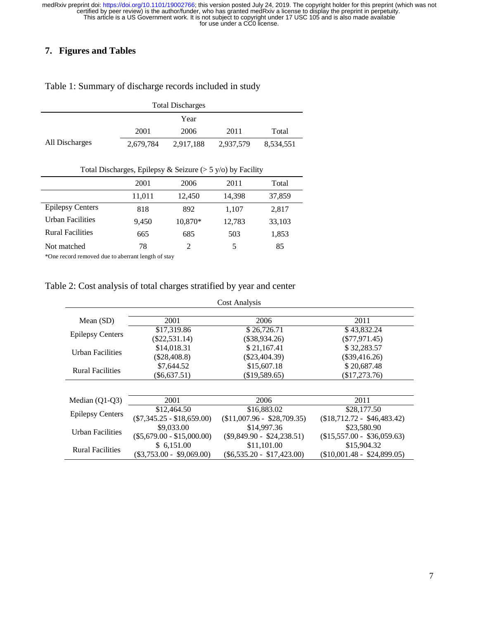### **7. Figures and Tables**

| <b>Total Discharges</b>                                       |           |           |           |           |  |
|---------------------------------------------------------------|-----------|-----------|-----------|-----------|--|
|                                                               |           | Year      |           |           |  |
|                                                               | 2001      | 2006      | 2011      | Total     |  |
| All Discharges                                                | 2,679,784 | 2,917,188 | 2,937,579 | 8,534,551 |  |
|                                                               |           |           |           |           |  |
| Total Discharges, Epilepsy & Seizure ( $>$ 5 y/o) by Facility |           |           |           |           |  |
|                                                               | 2001      | 2006      | 2011      | Total     |  |
|                                                               | 11,011    | 12,450    | 14,398    | 37,859    |  |
| <b>Epilepsy Centers</b>                                       | 818       | 892       | 1.107     | 2,817     |  |
| Urban Facilities                                              | 9,450     | 10,870*   | 12,783    | 33,103    |  |
| <b>Rural Facilities</b>                                       | 665       | 685       | 503       | 1,853     |  |

Table 1: Summary of discharge records included in study

| L                       | 010   | O <sub>74</sub> | 1.107  | 2,01  |
|-------------------------|-------|-----------------|--------|-------|
| Urban Facilities        | 9.450 | $10.870*$       | 12.783 | 33,10 |
| <b>Rural Facilities</b> | 665   | 685             | 503    | 1,85  |
| Not matched             | 78    |                 | 5      | 85    |
| $\sim$                  |       |                 |        |       |

\*One record removed due to aberrant length of stay

### Table 2: Cost analysis of total charges stratified by year and center

| Cost Analysis           |                              |                              |                               |  |  |
|-------------------------|------------------------------|------------------------------|-------------------------------|--|--|
| Mean $(SD)$             | 2001                         | 2006                         | 2011                          |  |  |
| <b>Epilepsy Centers</b> | \$17,319.86                  | \$26,726.71                  | \$43,832.24                   |  |  |
|                         | $(\$22,531.14)$              | $(\$38,934.26)$              | $(\$77,971.45)$               |  |  |
| <b>Urban Facilities</b> | \$14,018.31                  | \$21,167.41                  | \$32,283.57                   |  |  |
|                         | $(\$28,408.8)$               | $(\$23,404.39)$              | $(\$39,416.26)$               |  |  |
| <b>Rural Facilities</b> | \$7,644.52                   | \$15,607.18                  | \$20,687.48                   |  |  |
|                         | $(\$6,637.51)$               | (\$19,589.65)                | $(\$17,273.76)$               |  |  |
|                         |                              |                              |                               |  |  |
| Median $(Q1-Q3)$        | 2001                         | 2006                         | 2011                          |  |  |
| <b>Epilepsy Centers</b> | \$12,464.50                  | \$16,883.02                  | \$28,177.50                   |  |  |
|                         | $(\$7,345.25 - \$18,659.00)$ | $($11,007.96 - $28,709.35)$  | $(\$18,712.72 - \$46,483.42)$ |  |  |
| <b>Urban Facilities</b> | \$9,033.00                   | \$14,997.36                  | \$23,580.90                   |  |  |
|                         | $(\$5,679.00 - \$15,000.00)$ | $(\$9,849.90 - \$24,238.51)$ | $($15,557.00 - $36,059.63)$   |  |  |
| <b>Rural Facilities</b> | \$6,151.00                   | \$11,101.00                  | \$15,904.32                   |  |  |
|                         | $(\$3,753.00 - \$9,069.00)$  | $(\$6,535.20 - \$17,423.00)$ | $(\$10,001.48 - \$24,899.05)$ |  |  |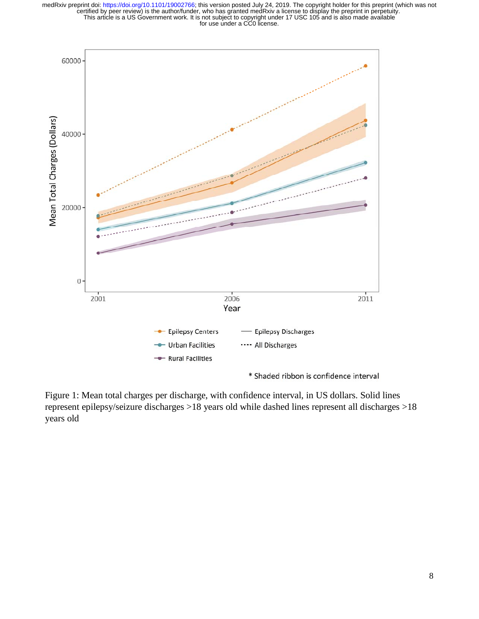

Figure 1: Mean total charges per discharge, with confidence interval, in US dollars. Solid lines represent epilepsy/seizure discharges >18 years old while dashed lines represent all discharges >18 years old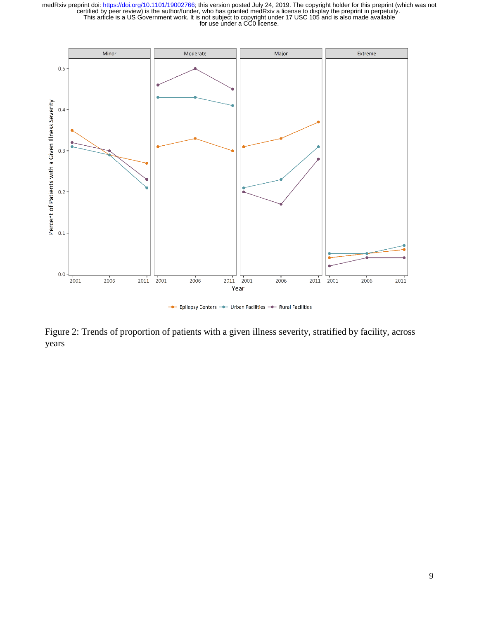

Figure 2: Trends of proportion of patients with a given illness severity, stratified by facility, across years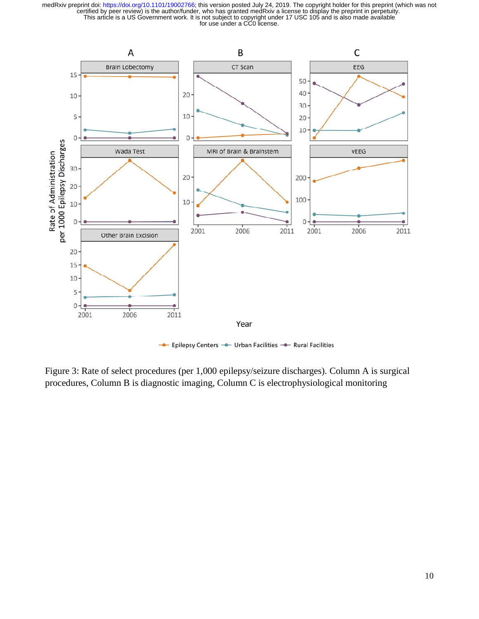

Figure 3: Rate of select procedures (per 1,000 epilepsy/seizure discharges). Column A is surgical procedures, Column B is diagnostic imaging, Column C is electrophysiological monitoring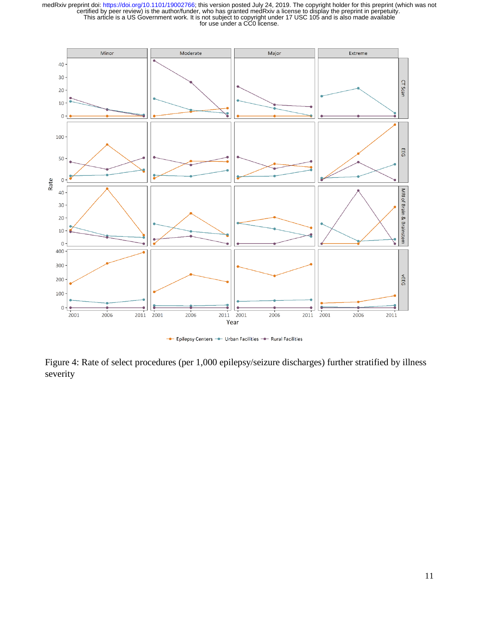

- Epilepsy Centers - Urban Facilities - Rural Facilities

Figure 4: Rate of select procedures (per 1,000 epilepsy/seizure discharges) further stratified by illness severity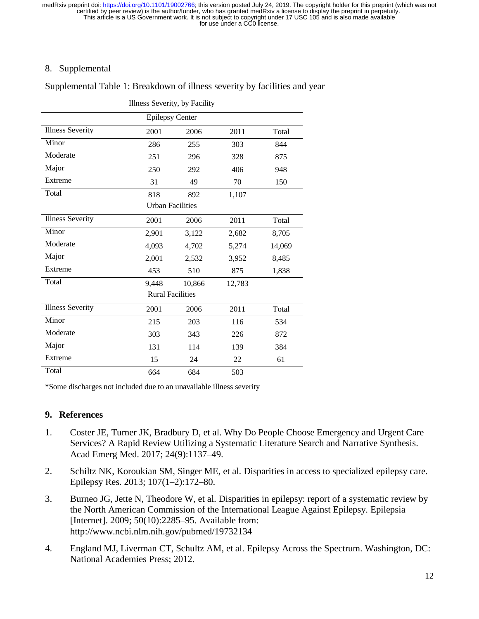#### 8. Supplemental

Supplemental Table 1: Breakdown of illness severity by facilities and year

| Illness Severity, by Facility |       |        |        |        |  |  |
|-------------------------------|-------|--------|--------|--------|--|--|
| <b>Epilepsy Center</b>        |       |        |        |        |  |  |
| <b>Illness Severity</b>       | 2001  | 2006   | 2011   | Total  |  |  |
| Minor                         | 286   | 255    | 303    | 844    |  |  |
| Moderate                      | 251   | 296    | 328    | 875    |  |  |
| Major                         | 250   | 292    | 406    | 948    |  |  |
| Extreme                       | 31    | 49     | 70     | 150    |  |  |
| Total                         | 818   | 892    | 1,107  |        |  |  |
| <b>Urban Facilities</b>       |       |        |        |        |  |  |
| <b>Illness Severity</b>       | 2001  | 2006   | 2011   | Total  |  |  |
| Minor                         | 2,901 | 3,122  | 2,682  | 8,705  |  |  |
| Moderate                      | 4,093 | 4,702  | 5,274  | 14,069 |  |  |
| Major                         | 2,001 | 2,532  | 3,952  | 8,485  |  |  |
| Extreme                       | 453   | 510    | 875    | 1,838  |  |  |
| Total                         | 9,448 | 10,866 | 12,783 |        |  |  |
| <b>Rural Facilities</b>       |       |        |        |        |  |  |
| <b>Illness Severity</b>       | 2001  | 2006   | 2011   | Total  |  |  |
| Minor                         | 215   | 203    | 116    | 534    |  |  |
| Moderate                      | 303   | 343    | 226    | 872    |  |  |
| Major                         | 131   | 114    | 139    | 384    |  |  |
| Extreme                       | 15    | 24     | 22     | 61     |  |  |
| Total                         | 664   | 684    | 503    |        |  |  |

\*Some discharges not included due to an unavailable illness severity

### **9. References**

- 1. Coster JE, Turner JK, Bradbury D, et al. Why Do People Choose Emergency and Urgent Care Services? A Rapid Review Utilizing a Systematic Literature Search and Narrative Synthesis. Acad Emerg Med. 2017; 24(9):1137–49.
- 2. Schiltz NK, Koroukian SM, Singer ME, et al. Disparities in access to specialized epilepsy care. Epilepsy Res. 2013; 107(1–2):172–80.
- 3. Burneo JG, Jette N, Theodore W, et al. Disparities in epilepsy: report of a systematic review by the North American Commission of the International League Against Epilepsy. Epilepsia [Internet]. 2009; 50(10):2285–95. Available from: http://www.ncbi.nlm.nih.gov/pubmed/19732134
- 4. England MJ, Liverman CT, Schultz AM, et al. Epilepsy Across the Spectrum. Washington, DC: National Academies Press; 2012.